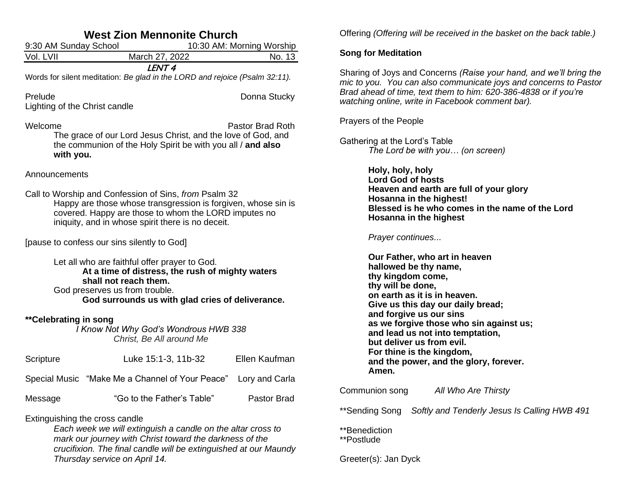| <b>West Zion Mennonite Church</b>        |                                                                                                                                                                                                                                     |                           |  |  |
|------------------------------------------|-------------------------------------------------------------------------------------------------------------------------------------------------------------------------------------------------------------------------------------|---------------------------|--|--|
| 9:30 AM Sunday School                    |                                                                                                                                                                                                                                     | 10:30 AM: Morning Worship |  |  |
| Vol. LVII                                | March 27, 2022                                                                                                                                                                                                                      | No. 13                    |  |  |
|                                          | LENT <sub>4</sub><br>Words for silent meditation: Be glad in the LORD and rejoice (Psalm 32:11).                                                                                                                                    |                           |  |  |
| Prelude<br>Lighting of the Christ candle |                                                                                                                                                                                                                                     | Donna Stucky              |  |  |
| Welcome<br>with you.                     | The grace of our Lord Jesus Christ, and the love of God, and<br>the communion of the Holy Spirit be with you all / and also                                                                                                         | Pastor Brad Roth          |  |  |
| Announcements                            |                                                                                                                                                                                                                                     |                           |  |  |
|                                          | Call to Worship and Confession of Sins, from Psalm 32<br>Happy are those whose transgression is forgiven, whose sin is<br>covered. Happy are those to whom the LORD imputes no<br>iniquity, and in whose spirit there is no deceit. |                           |  |  |
|                                          | [pause to confess our sins silently to God]                                                                                                                                                                                         |                           |  |  |
|                                          | Let all who are faithful offer prayer to God.<br>At a time of distress, the rush of mighty waters<br>shall not reach them.<br>God preserves us from trouble.<br>God surrounds us with glad cries of deliverance.                    |                           |  |  |
| **Celebrating in song                    | I Know Not Why God's Wondrous HWB 338<br>Christ, Be All around Me                                                                                                                                                                   |                           |  |  |
| Scripture                                | Luke 15:1-3, 11b-32                                                                                                                                                                                                                 | Ellen Kaufman             |  |  |
|                                          | Special Music "Make Me a Channel of Your Peace"                                                                                                                                                                                     | Lory and Carla            |  |  |
| Message                                  | "Go to the Father's Table"                                                                                                                                                                                                          | Pastor Brad               |  |  |
|                                          | Extinguishing the cross candle<br>Each week we will extinguish a candle on the altar cross to                                                                                                                                       |                           |  |  |

*mark our journey with Christ toward the darkness of the crucifixion. The final candle will be extinguished at our Maundy Thursday service on April 14.*

Offering *(Offering will be received in the basket on the back table.)*

#### **Song for Meditation**

Sharing of Joys and Concerns *(Raise your hand, and we'll bring the mic to you. You can also communicate joys and concerns to Pastor Brad ahead of time, text them to him: 620-386-4838 or if you're watching online, write in Facebook comment bar).*

Prayers of the People

Gathering at the Lord's Table *The Lord be with you… (on screen)*

> **Holy, holy, holy Lord God of hosts Heaven and earth are full of your glory Hosanna in the highest! Blessed is he who comes in the name of the Lord Hosanna in the highest**

*Prayer continues*...

**Our Father, who art in heaven hallowed be thy name, thy kingdom come, thy will be done, on earth as it is in heaven. Give us this day our daily bread; and forgive us our sins as we forgive those who sin against us; and lead us not into temptation, but deliver us from evil. For thine is the kingdom, and the power, and the glory, forever. Amen.**

Communion song *All Who Are Thirsty*

\*\*Sending Song *Softly and Tenderly Jesus Is Calling HWB 491*

\*\*Benediction \*\*Postlude

Greeter(s): Jan Dyck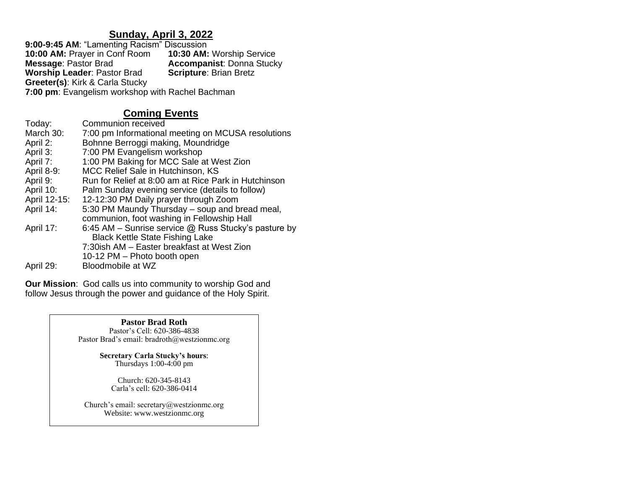# **Sunday, April 3, 2022**

**9:00-9:45 AM**: "Lamenting Racism" Discussion **10:00 AM:** Prayer in Conf Room **10:30 AM:** Worship Service **Accompanist: Donna Stucky Scripture: Brian Bretz Worship Leader: Pastor Brad Greeter(s)**: Kirk & Carla Stucky **7:00 pm**: Evangelism workshop with Rachel Bachman

# **Coming Events**

| Today:       | Communion received                                     |
|--------------|--------------------------------------------------------|
| March 30:    | 7:00 pm Informational meeting on MCUSA resolutions     |
| April 2:     | Bohnne Berroggi making, Moundridge                     |
| April 3:     | 7:00 PM Evangelism workshop                            |
| April 7:     | 1:00 PM Baking for MCC Sale at West Zion               |
| April 8-9:   | MCC Relief Sale in Hutchinson, KS                      |
| April 9:     | Run for Relief at 8:00 am at Rice Park in Hutchinson   |
| April 10:    | Palm Sunday evening service (details to follow)        |
| April 12-15: | 12-12:30 PM Daily prayer through Zoom                  |
| April 14:    | 5:30 PM Maundy Thursday – soup and bread meal,         |
|              | communion, foot washing in Fellowship Hall             |
| April 17:    | 6:45 AM – Sunrise service $@$ Russ Stucky's pasture by |
|              | <b>Black Kettle State Fishing Lake</b>                 |
|              | 7:30ish AM - Easter breakfast at West Zion             |
|              | 10-12 PM - Photo booth open                            |
| April 29:    | Bloodmobile at WZ                                      |

**Our Mission**: God calls us into community to worship God and follow Jesus through the power and guidance of the Holy Spirit.

> **Pastor Brad Roth** Pastor's Cell: 620-386-4838 Pastor Brad's email: bradroth@westzionmc.org

> > **Secretary Carla Stucky's hours**: Thursdays 1:00-4:00 pm

> > > Church: 620-345-8143 Carla's cell: 620-386-0414

Church's email: secretary@westzionmc.org Website: www.westzionmc.org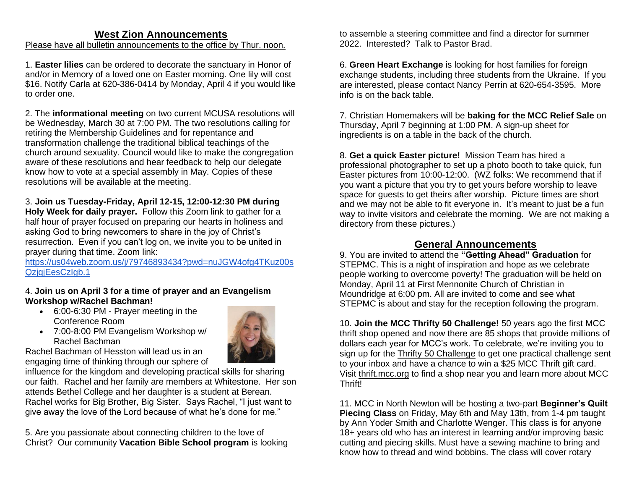# **West Zion Announcements**

Please have all bulletin announcements to the office by Thur. noon.

1. **Easter lilies** can be ordered to decorate the sanctuary in Honor of and/or in Memory of a loved one on Easter morning. One lily will cost \$16. Notify Carla at 620-386-0414 by Monday, April 4 if you would like to order one.

2. The **informational meeting** on two current MCUSA resolutions will be Wednesday, March 30 at 7:00 PM. The two resolutions calling for retiring the Membership Guidelines and for repentance and transformation challenge the traditional biblical teachings of the church around sexuality. Council would like to make the congregation aware of these resolutions and hear feedback to help our delegate know how to vote at a special assembly in May. Copies of these resolutions will be available at the meeting.

3. **Join us Tuesday-Friday, April 12-15, 12:00-12:30 PM during Holy Week for daily prayer.** Follow this Zoom link to gather for a half hour of prayer focused on preparing our hearts in holiness and asking God to bring newcomers to share in the joy of Christ's resurrection. Even if you can't log on, we invite you to be united in prayer during that time. Zoom link:

[https://us04web.zoom.us/j/79746893434?pwd=nuJGW4ofg4TKuz00s](https://us04web.zoom.us/j/79746893434?pwd=nuJGW4ofg4TKuz00sQzjqjEesCzIgb.1) QzigiEesCzIgb.1

## 4. **Join us on April 3 for a time of prayer and an Evangelism Workshop w/Rachel Bachman!**

- 6:00-6:30 PM Prayer meeting in the Conference Room • 7:00-8:00 PM Evangelism Workshop w/
- 

Rachel Bachman of Hesston will lead us in an engaging time of thinking through our sphere of

Rachel Bachman

influence for the kingdom and developing practical skills for sharing our faith. Rachel and her family are members at Whitestone. Her son attends Bethel College and her daughter is a student at Berean. Rachel works for Big Brother, Big Sister. Says Rachel, "I just want to give away the love of the Lord because of what he's done for me."

5. Are you passionate about connecting children to the love of Christ? Our community **Vacation Bible School program** is looking to assemble a steering committee and find a director for summer 2022. Interested? Talk to Pastor Brad.

6. **Green Heart Exchange** is looking for host families for foreign exchange students, including three students from the Ukraine. If you are interested, please contact Nancy Perrin at 620-654-3595. More info is on the back table.

7. Christian Homemakers will be **baking for the MCC Relief Sale** on Thursday, April 7 beginning at 1:00 PM. A sign-up sheet for ingredients is on a table in the back of the church.

8. **Get a quick Easter picture!** Mission Team has hired a professional photographer to set up a photo booth to take quick, fun Easter pictures from 10:00-12:00. (WZ folks: We recommend that if you want a picture that you try to get yours before worship to leave space for guests to get theirs after worship. Picture times are short and we may not be able to fit everyone in. It's meant to just be a fun way to invite visitors and celebrate the morning. We are not making a directory from these pictures.)

# **General Announcements**

9. You are invited to attend the **"Getting Ahead" Graduation** for STEPMC. This is a night of inspiration and hope as we celebrate people working to overcome poverty! The graduation will be held on Monday, April 11 at First Mennonite Church of Christian in Moundridge at 6:00 pm. All are invited to come and see what STEPMC is about and stay for the reception following the program.

10. **Join the MCC Thrifty 50 Challenge!** 50 years ago the first MCC thrift shop opened and now there are 85 shops that provide millions of dollars each year for MCC's work. To celebrate, we're inviting you to sign up for the [Thrifty 50 Challenge](https://thrift.mcc.org/50/challenge) to get one practical challenge sent to your inbox and have a chance to win a \$25 MCC Thrift gift card. Visit [thrift.mcc.org](https://thrift.mcc.org/) to find a shop near you and learn more about MCC Thrift!

11. MCC in North Newton will be hosting a two-part **Beginner's Quilt Piecing Class** on Friday, May 6th and May 13th, from 1-4 pm taught by Ann Yoder Smith and Charlotte Wenger. This class is for anyone 18+ years old who has an interest in learning and/or improving basic cutting and piecing skills. Must have a sewing machine to bring and know how to thread and wind bobbins. The class will cover rotary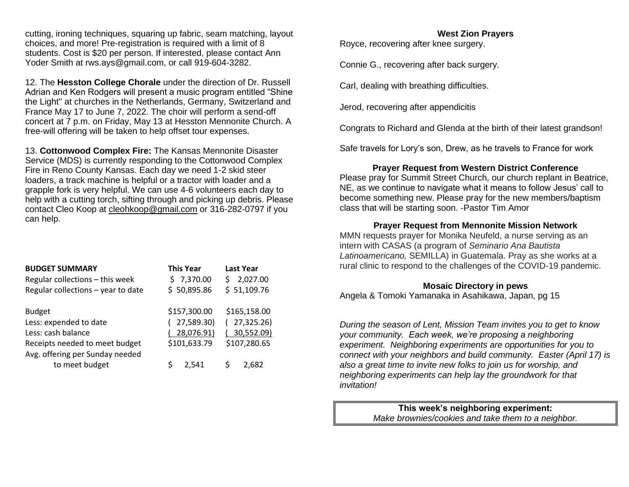cutting, ironing techniques, squaring up fabric, seam matching, layout choices, and more! Pre-registration is required with a limit of 8 students. Cost is \$20 per person. If interested, please contact Ann Yoder Smith at [rws.ays@gmail.com,](mailto:rws.ays@gmail.com) or call 919-604-3282.

12. The **Hesston College Chorale** under the direction of Dr. Russell Adrian and Ken Rodgers will present a music program entitled "Shine the Light'' at churches in the Netherlands, Germany, Switzerland and France May 17 to June 7, 2022. The choir will perform a send-off concert at 7 p.m. on Friday, May 13 at Hesston Mennonite Church. A free-will offering will be taken to help offset tour expenses.

13. **Cottonwood Complex Fire:** The Kansas Mennonite Disaster Service (MDS) is currently responding to the Cottonwood Complex Fire in Reno County Kansas. Each day we need 1-2 skid steer loaders, a track machine is helpful or a tractor with loader and a grapple fork is very helpful. We can use 4-6 volunteers each day to help with a cutting torch, sifting through and picking up debris. Please contact Cleo Koop at [cleohkoop@gmail.com](mailto:cleohkoop@gmail.com) or 316-282-0797 if you can help.

| <b>BUDGET SUMMARY</b><br>Regular collections - this week<br>Regular collections - year to date | <b>This Year</b><br>\$7,370.00<br>\$50,895.86 | <b>Last Year</b><br>2,027.00<br>S.<br>\$1,109.76 |
|------------------------------------------------------------------------------------------------|-----------------------------------------------|--------------------------------------------------|
| <b>Budget</b>                                                                                  | \$157,300.00                                  | \$165,158.00                                     |
| Less: expended to date                                                                         | 27,589.30)                                    | 27,325.26)                                       |
| Less: cash balance                                                                             | 28,076.91)                                    | 30,552.09)                                       |
| Receipts needed to meet budget                                                                 | \$101,633.79                                  | \$107,280.65                                     |
| Avg. offering per Sunday needed                                                                |                                               |                                                  |
| to meet budget                                                                                 | 2,541                                         | 2.682                                            |

#### **West Zion Prayers**

Royce, recovering after knee surgery.

Connie G., recovering after back surgery.

Carl, dealing with breathing difficulties.

Jerod, recovering after appendicitis

Congrats to Richard and Glenda at the birth of their latest grandson!

Safe travels for Lory's son, Drew, as he travels to France for work

### **Prayer Request from Western District Conference**

Please pray for Summit Street Church, our church replant in Beatrice, NE, as we continue to navigate what it means to follow Jesus' call to become something new. Please pray for the new members/baptism class that will be starting soon. -Pastor Tim Amor

## **Prayer Request from Mennonite Mission Network**

MMN requests prayer for Monika Neufeld, a nurse serving as an intern with CASAS (a program of *Seminario Ana Bautista Latinoamericano,* SEMILLA) in Guatemala. Pray as she works at a rural clinic to respond to the challenges of the COVID-19 pandemic.

## **Mosaic Directory in pews**

Angela & Tomoki Yamanaka in Asahikawa, Japan, pg 15

*During the season of Lent, Mission Team invites you to get to know your community. Each week, we're proposing a neighboring experiment. Neighboring experiments are opportunities for you to connect with your neighbors and build community. Easter (April 17) is also a great time to invite new folks to join us for worship, and neighboring experiments can help lay the groundwork for that invitation!*

> **This week's neighboring experiment:** *Make brownies/cookies and take them to a neighbor.*